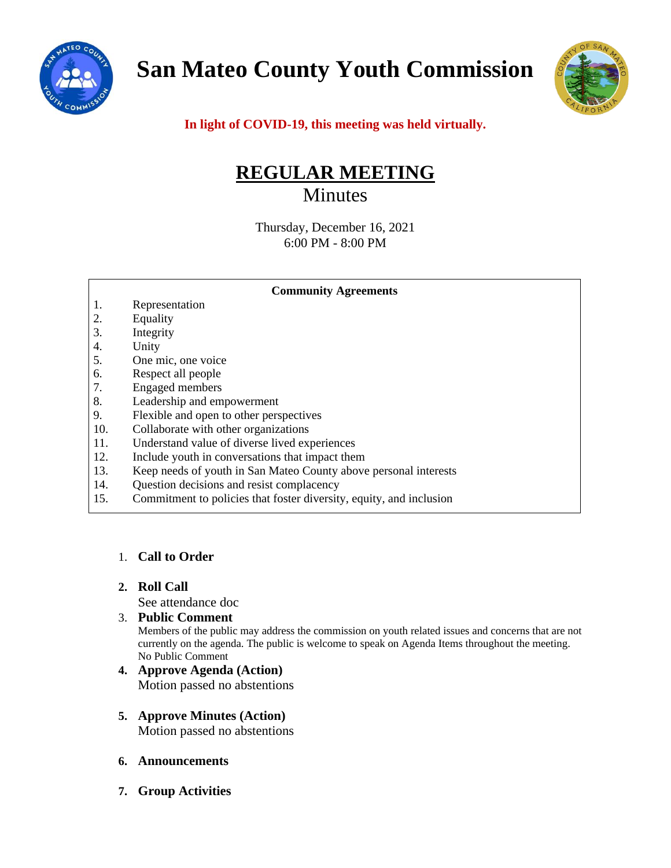

**San Mateo County Youth Commission**



## **In light of COVID-19, this meeting was held virtually.**

# **REGULAR MEETING Minutes**

Thursday, December 16, 2021 6:00 PM - 8:00 PM

**Community Agreements**

- 1. Representation
- 2. Equality
- 3. Integrity
- 4. Unity
- 5. One mic, one voice
- 6. Respect all people
- 7. Engaged members
- 8. Leadership and empowerment
- 9. Flexible and open to other perspectives
- 10. Collaborate with other organizations
- 11. Understand value of diverse lived experiences
- 12. Include youth in conversations that impact them
- 13. Keep needs of youth in San Mateo County above personal interests
- 14. Question decisions and resist complacency
- 15. Commitment to policies that foster diversity, equity, and inclusion

### 1. **Call to Order**

### **2. Roll Call**

See attendance doc

3. **Public Comment**

Members of the public may address the commission on youth related issues and concerns that are not currently on the agenda. The public is welcome to speak on Agenda Items throughout the meeting. No Public Comment

- **4. Approve Agenda (Action)** Motion passed no abstentions
- **5. Approve Minutes (Action)** Motion passed no abstentions
- **6. Announcements**
- **7. Group Activities**